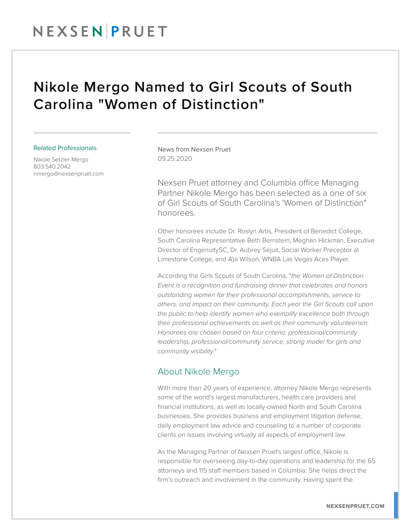## NEXSEN PRUET

## Nikole Mergo Named to Girl Scouts of South Carolina "Women of Distinction"

#### Related Professionals

Nikole Setzler Mergo 803.540.2042 nmergo@nexsenpruet.com News from Nexsen Pruet 09.25.2020

Nexsen Pruet attorney and Columbia office Managing Partner Nikole Mergo has been selected as a one of six of Girl Scouts of South Carolina's 'Women of Distinction" honorees.

Other honorees include Dr. Roslyn Artis, President of Benedict College, South Carolina Representative Beth Bernstein, Meghan Hickman, Executive Director of EngenuitySC, Dr. Aubrey Sejuit, Social Worker Preceptor at Limestone College, and A'ja Wilson, WNBA Las Vegas Aces Player.

According the Girls Scouts of South Carolina, "*the Women of Distinction Event is a recognition and fundraising dinner that celebrates and honors outstanding women for their professional accomplishments, service to others, and impact on their community. Each year the Girl Scouts call upon the public to help identify women who exemplify excellence both through their professional achievements as well as their community volunteerism. Honorees are chosen based on four criteria: professional/community leadership, professional/community service, strong model for girls and community visibility.*"

### About Nikole Mergo

With more than 20 years of experience, attorney Nikole Mergo represents some of the world's largest manufacturers, health care providers and financial institutions, as well as locally-owned North and South Carolina businesses. She provides business and employment litigation defense, daily employment law advice and counseling to a number of corporate clients on issues involving virtually all aspects of employment law.

As the Managing Partner of Nexsen Pruet's largest office, Nikole is responsible for overseeing day-to-day operations and leadership for the 65 attorneys and 115 staff members based in Columbia. She helps direct the firm's outreach and involvement in the community. Having spent the